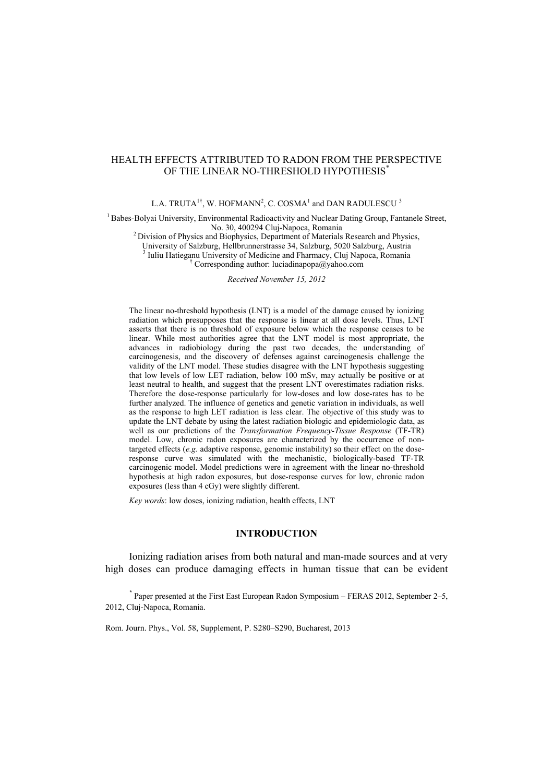# HEALTH EFFECTS ATTRIBUTED TO RADON FROM THE PERSPECTIVE OF THE LINEAR NO-THRESHOLD HYPOTHESIS<sup>\*</sup>

L.A. TRUTA<sup>1†</sup>, W. HOFMANN<sup>2</sup>, C. COSMA<sup>1</sup> and DAN RADULESCU<sup>3</sup>

<sup>1</sup> Babes-Bolyai University, Environmental Radioactivity and Nuclear Dating Group, Fantanele Street, No. 30, 400294 Cluj-Napoca, Romania

 $<sup>2</sup>$  Division of Physics and Biophysics, Department of Materials Research and Physics,</sup>

University of Salzburg, Hellbrunnerstrasse 34, Salzburg, 5020 Salzburg, Austria <sup>3</sup> Iuliu Hatieganu University of Medicine and Fharmacy, Cluj Napoca, Romania

† Corresponding author: luciadinapopa@yahoo.com

*Received November 15, 2012* 

The linear no-threshold hypothesis (LNT) is a model of the damage caused by ionizing radiation which presupposes that the response is linear at all dose levels. Thus, LNT asserts that there is no threshold of exposure below which the response ceases to be linear. While most authorities agree that the LNT model is most appropriate, the advances in radiobiology during the past two decades, the understanding of carcinogenesis, and the discovery of defenses against carcinogenesis challenge the validity of the LNT model. These studies disagree with the LNT hypothesis suggesting that low levels of low LET radiation, below 100 mSv, may actually be positive or at least neutral to health, and suggest that the present LNT overestimates radiation risks. Therefore the dose-response particularly for low-doses and low dose-rates has to be further analyzed. The influence of genetics and genetic variation in individuals, as well as the response to high LET radiation is less clear. The objective of this study was to update the LNT debate by using the latest radiation biologic and epidemiologic data, as well as our predictions of the *Transformation Frequency-Tissue Response* (TF-TR) model. Low, chronic radon exposures are characterized by the occurrence of nontargeted effects (*e.g.* adaptive response, genomic instability) so their effect on the doseresponse curve was simulated with the mechanistic, biologically-based TF-TR carcinogenic model. Model predictions were in agreement with the linear no-threshold hypothesis at high radon exposures, but dose-response curves for low, chronic radon exposures (less than 4 cGy) were slightly different.

*Key words*: low doses, ionizing radiation, health effects, LNT

# **INTRODUCTION**

Ionizing radiation arises from both natural and man-made sources and at very high doses can produce damaging effects in human tissue that can be evident

\* Paper presented at the First East European Radon Symposium – FERAS 2012, September 2–5, 2012, Cluj-Napoca, Romania.

Rom. Journ. Phys., Vol. 58, Supplement, P. S280–S290, Bucharest, 2013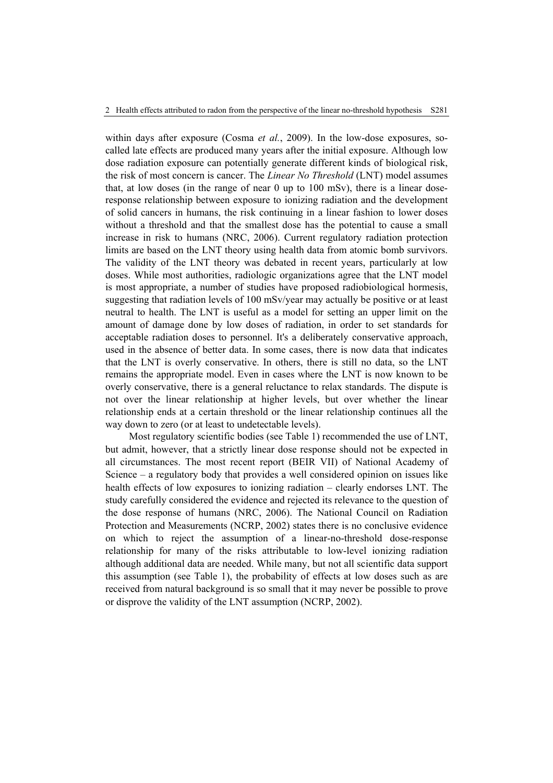within days after exposure (Cosma *et al.*, 2009). In the low-dose exposures, socalled late effects are produced many years after the initial exposure. Although low dose radiation exposure can potentially generate different kinds of biological risk, the risk of most concern is cancer. The *Linear No Threshold* (LNT) model assumes that, at low doses (in the range of near 0 up to  $100$  mSv), there is a linear doseresponse relationship between exposure to ionizing radiation and the development of solid cancers in humans, the risk continuing in a linear fashion to lower doses without a threshold and that the smallest dose has the potential to cause a small increase in risk to humans (NRC, 2006). Current regulatory radiation protection limits are based on the LNT theory using health data from atomic bomb survivors. The validity of the LNT theory was debated in recent years, particularly at low doses. While most authorities, radiologic organizations agree that the LNT model is most appropriate, a number of studies have proposed radiobiological hormesis, suggesting that radiation levels of 100 mSv/year may actually be positive or at least neutral to health. The LNT is useful as a model for setting an upper limit on the amount of damage done by low doses of radiation, in order to set standards for acceptable radiation doses to personnel. It's a deliberately conservative approach, used in the absence of better data. In some cases, there is now data that indicates that the LNT is overly conservative. In others, there is still no data, so the LNT remains the appropriate model. Even in cases where the LNT is now known to be overly conservative, there is a general reluctance to relax standards. The dispute is not over the linear relationship at higher levels, but over whether the linear relationship ends at a certain threshold or the linear relationship continues all the way down to zero (or at least to undetectable levels).

Most regulatory scientific bodies (see Table 1) recommended the use of LNT, but admit, however, that a strictly linear dose response should not be expected in all circumstances. The most recent report (BEIR VII) of National Academy of Science – a regulatory body that provides a well considered opinion on issues like health effects of low exposures to ionizing radiation – clearly endorses LNT. The study carefully considered the evidence and rejected its relevance to the question of the dose response of humans (NRC, 2006). The National Council on Radiation Protection and Measurements (NCRP, 2002) states there is no conclusive evidence on which to reject the assumption of a linear-no-threshold dose-response relationship for many of the risks attributable to low-level ionizing radiation although additional data are needed. While many, but not all scientific data support this assumption (see Table 1), the probability of effects at low doses such as are received from natural background is so small that it may never be possible to prove or disprove the validity of the LNT assumption (NCRP, 2002).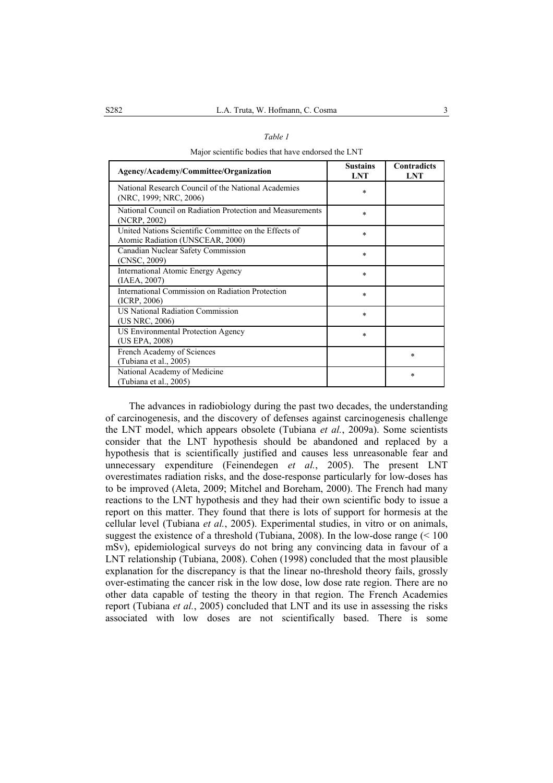|--|--|

Major scientific bodies that have endorsed the LNT

| Agency/Academy/Committee/Organization                                                     | <b>Sustains</b><br><b>LNT</b> | <b>Contradicts</b><br><b>LNT</b> |
|-------------------------------------------------------------------------------------------|-------------------------------|----------------------------------|
| National Research Council of the National Academies<br>(NRC, 1999; NRC, 2006)             | $\ast$                        |                                  |
| National Council on Radiation Protection and Measurements<br>(NCRP, 2002)                 | $\ast$                        |                                  |
| United Nations Scientific Committee on the Effects of<br>Atomic Radiation (UNSCEAR, 2000) | $\ast$                        |                                  |
| Canadian Nuclear Safety Commission<br>(CNSC, 2009)                                        | $\ast$                        |                                  |
| <b>International Atomic Energy Agency</b><br>(IAEA, 2007)                                 | $\ast$                        |                                  |
| International Commission on Radiation Protection<br>(ICRP, 2006)                          | $\ast$                        |                                  |
| <b>US National Radiation Commission</b><br>(US NRC, 2006)                                 | $\ast$                        |                                  |
| <b>US Environmental Protection Agency</b><br>(US EPA, 2008)                               | $\ast$                        |                                  |
| French Academy of Sciences<br>(Tubiana et al., 2005)                                      |                               | $\ast$                           |
| National Academy of Medicine<br>(Tubiana et al., 2005)                                    |                               | $\ast$                           |

The advances in radiobiology during the past two decades, the understanding of carcinogenesis, and the discovery of defenses against carcinogenesis challenge the LNT model, which appears obsolete (Tubiana *et al.*, 2009a). Some scientists consider that the LNT hypothesis should be abandoned and replaced by a hypothesis that is scientifically justified and causes less unreasonable fear and unnecessary expenditure (Feinendegen *et al.*, 2005). The present LNT overestimates radiation risks, and the dose-response particularly for low-doses has to be improved (Aleta, 2009; Mitchel and Boreham, 2000). The French had many reactions to the LNT hypothesis and they had their own scientific body to issue a report on this matter. They found that there is lots of support for hormesis at the cellular level (Tubiana *et al.*, 2005). Experimental studies, in vitro or on animals, suggest the existence of a threshold (Tubiana, 2008). In the low-dose range  $(< 100$ mSv), epidemiological surveys do not bring any convincing data in favour of a LNT relationship (Tubiana, 2008). Cohen (1998) concluded that the most plausible explanation for the discrepancy is that the linear no-threshold theory fails, grossly over-estimating the cancer risk in the low dose, low dose rate region. There are no other data capable of testing the theory in that region. The French Academies report (Tubiana *et al.*, 2005) concluded that LNT and its use in assessing the risks associated with low doses are not scientifically based. There is some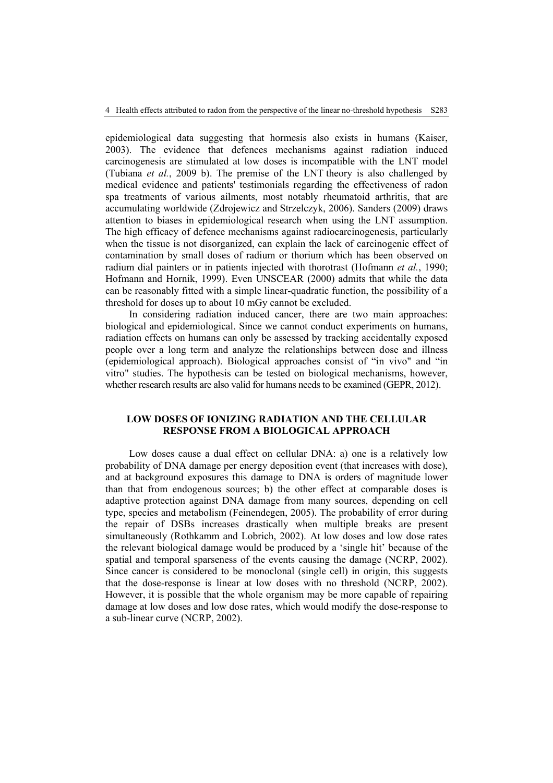epidemiological data suggesting that hormesis also exists in humans (Kaiser, 2003). The evidence that defences mechanisms against radiation induced carcinogenesis are stimulated at low doses is incompatible with the LNT model (Tubiana *et al.*, 2009 b). The premise of the LNT theory is also challenged by medical evidence and patients' testimonials regarding the effectiveness of radon spa treatments of various ailments, most notably rheumatoid arthritis, that are accumulating worldwide (Zdrojewicz and Strzelczyk, 2006). Sanders (2009) draws attention to biases in epidemiological research when using the LNT assumption. The high efficacy of defence mechanisms against radiocarcinogenesis, particularly when the tissue is not disorganized, can explain the lack of carcinogenic effect of contamination by small doses of radium or thorium which has been observed on radium dial painters or in patients injected with thorotrast (Hofmann *et al.*, 1990; Hofmann and Hornik, 1999). Even UNSCEAR (2000) admits that while the data can be reasonably fitted with a simple linear-quadratic function, the possibility of a threshold for doses up to about 10 mGy cannot be excluded.

In considering radiation induced cancer, there are two main approaches: biological and epidemiological. Since we cannot conduct experiments on humans, radiation effects on humans can only be assessed by tracking accidentally exposed people over a long term and analyze the relationships between dose and illness (epidemiological approach). Biological approaches consist of "in vivo" and "in vitro" studies. The hypothesis can be tested on biological mechanisms, however, whether research results are also valid for humans needs to be examined (GEPR, 2012).

# **LOW DOSES OF IONIZING RADIATION AND THE CELLULAR RESPONSE FROM A BIOLOGICAL APPROACH**

Low doses cause a dual effect on cellular DNA: a) one is a relatively low probability of DNA damage per energy deposition event (that increases with dose), and at background exposures this damage to DNA is orders of magnitude lower than that from endogenous sources; b) the other effect at comparable doses is adaptive protection against DNA damage from many sources, depending on cell type, species and metabolism (Feinendegen, 2005). The probability of error during the repair of DSBs increases drastically when multiple breaks are present simultaneously (Rothkamm and Lobrich, 2002). At low doses and low dose rates the relevant biological damage would be produced by a 'single hit' because of the spatial and temporal sparseness of the events causing the damage (NCRP, 2002). Since cancer is considered to be monoclonal (single cell) in origin, this suggests that the dose-response is linear at low doses with no threshold (NCRP, 2002). However, it is possible that the whole organism may be more capable of repairing damage at low doses and low dose rates, which would modify the dose-response to a sub-linear curve (NCRP, 2002).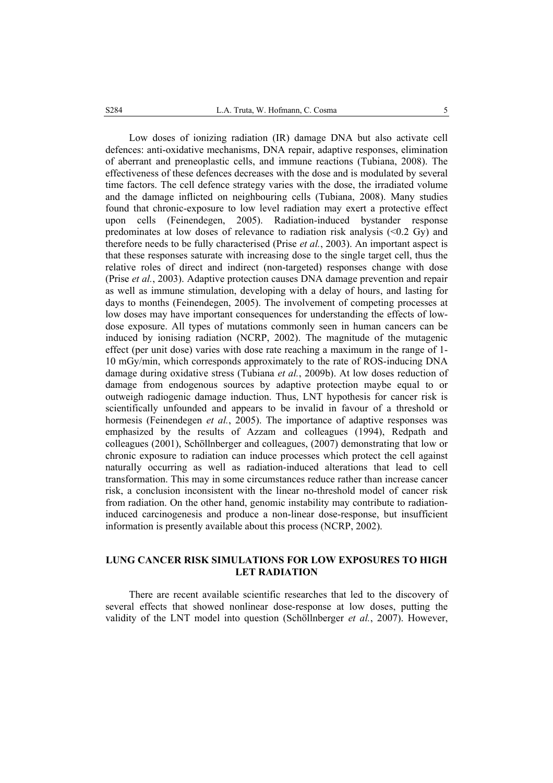Low doses of ionizing radiation (IR) damage DNA but also activate cell defences: anti-oxidative mechanisms, DNA repair, adaptive responses, elimination of aberrant and preneoplastic cells, and immune reactions (Tubiana, 2008). The effectiveness of these defences decreases with the dose and is modulated by several time factors. The cell defence strategy varies with the dose, the irradiated volume and the damage inflicted on neighbouring cells (Tubiana, 2008). Many studies found that chronic-exposure to low level radiation may exert a protective effect upon cells (Feinendegen, 2005). Radiation-induced bystander response predominates at low doses of relevance to radiation risk analysis  $\langle 0.2 \text{ Gy} \rangle$  and therefore needs to be fully characterised (Prise *et al.*, 2003). An important aspect is that these responses saturate with increasing dose to the single target cell, thus the relative roles of direct and indirect (non-targeted) responses change with dose (Prise *et al.*, 2003). Adaptive protection causes DNA damage prevention and repair as well as immune stimulation, developing with a delay of hours, and lasting for days to months (Feinendegen, 2005). The involvement of competing processes at low doses may have important consequences for understanding the effects of lowdose exposure. All types of mutations commonly seen in human cancers can be induced by ionising radiation (NCRP, 2002). The magnitude of the mutagenic effect (per unit dose) varies with dose rate reaching a maximum in the range of 1- 10 mGy/min, which corresponds approximately to the rate of ROS-inducing DNA damage during oxidative stress (Tubiana *et al.*, 2009b). At low doses reduction of damage from endogenous sources by adaptive protection maybe equal to or outweigh radiogenic damage induction. Thus, LNT hypothesis for cancer risk is scientifically unfounded and appears to be invalid in favour of a threshold or hormesis (Feinendegen *et al.*, 2005). The importance of adaptive responses was emphasized by the results of Azzam and colleagues (1994), Redpath and colleagues (2001), Schöllnberger and colleagues, (2007) demonstrating that low or chronic exposure to radiation can induce processes which protect the cell against naturally occurring as well as radiation-induced alterations that lead to cell transformation. This may in some circumstances reduce rather than increase cancer risk, a conclusion inconsistent with the linear no-threshold model of cancer risk from radiation. On the other hand, genomic instability may contribute to radiationinduced carcinogenesis and produce a non-linear dose-response, but insufficient information is presently available about this process (NCRP, 2002).

# **LUNG CANCER RISK SIMULATIONS FOR LOW EXPOSURES TO HIGH LET RADIATION**

There are recent available scientific researches that led to the discovery of several effects that showed nonlinear dose-response at low doses, putting the validity of the LNT model into question (Schöllnberger *et al.*, 2007). However,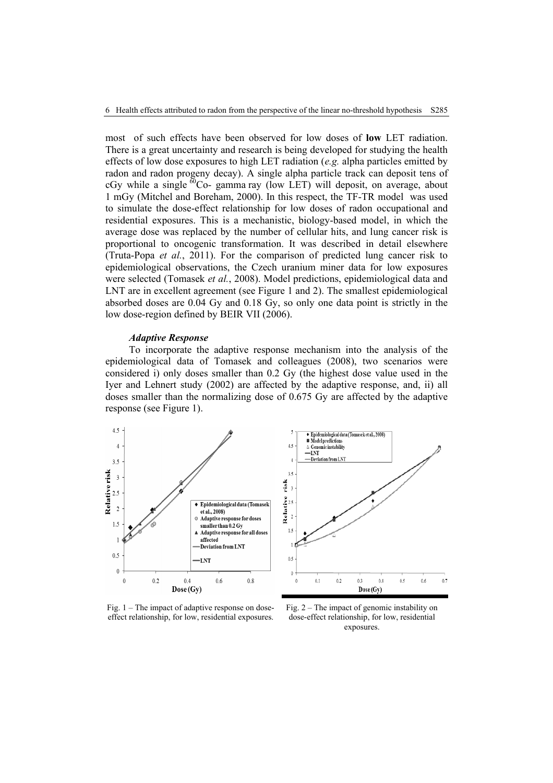most of such effects have been observed for low doses of **low** LET radiation. There is a great uncertainty and research is being developed for studying the health effects of low dose exposures to high LET radiation (*e.g.* alpha particles emitted by radon and radon progeny decay). A single alpha particle track can deposit tens of  $cGy$  while a single  $\frac{60}{cQ}$ - gamma ray (low LET) will deposit, on average, about 1 mGy (Mitchel and Boreham, 2000). In this respect, the TF-TR model was used to simulate the dose-effect relationship for low doses of radon occupational and residential exposures. This is a mechanistic, biology-based model, in which the average dose was replaced by the number of cellular hits, and lung cancer risk is proportional to oncogenic transformation. It was described in detail elsewhere (Truta-Popa *et al.*, 2011). For the comparison of predicted lung cancer risk to epidemiological observations, the Czech uranium miner data for low exposures were selected (Tomasek *et al.*, 2008). Model predictions, epidemiological data and LNT are in excellent agreement (see Figure 1 and 2). The smallest epidemiological absorbed doses are 0.04 Gy and 0.18 Gy, so only one data point is strictly in the low dose-region defined by BEIR VII (2006).

#### *Adaptive Response*

To incorporate the adaptive response mechanism into the analysis of the epidemiological data of Tomasek and colleagues (2008), two scenarios were considered i) only doses smaller than 0.2 Gy (the highest dose value used in the Iyer and Lehnert study (2002) are affected by the adaptive response, and, ii) all doses smaller than the normalizing dose of 0.675 Gy are affected by the adaptive response (see Figure 1).



Fig. 1 – The impact of adaptive response on doseeffect relationship, for low, residential exposures.

Fig. 2 – The impact of genomic instability on dose-effect relationship, for low, residential exposures.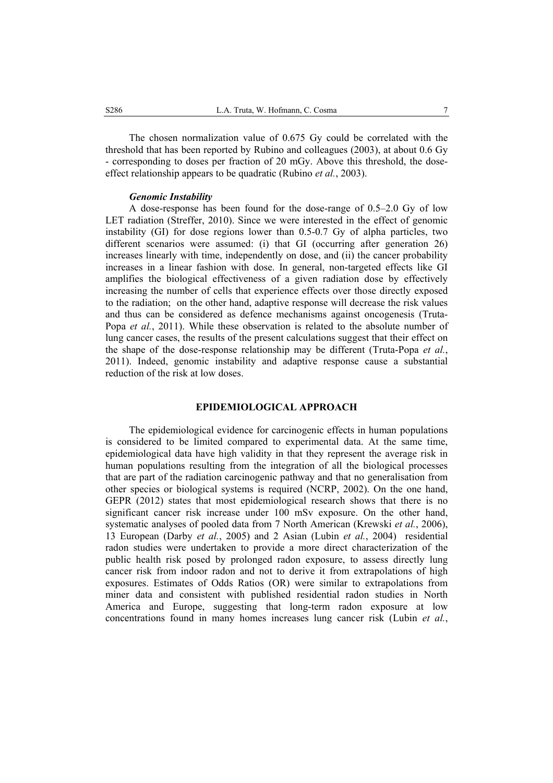The chosen normalization value of 0.675 Gy could be correlated with the threshold that has been reported by Rubino and colleagues (2003), at about 0.6 Gy - corresponding to doses per fraction of 20 mGy. Above this threshold, the doseeffect relationship appears to be quadratic (Rubino *et al.*, 2003).

#### *Genomic Instability*

A dose-response has been found for the dose-range of 0.5–2.0 Gy of low LET radiation (Streffer, 2010). Since we were interested in the effect of genomic instability (GI) for dose regions lower than 0.5-0.7 Gy of alpha particles, two different scenarios were assumed: (i) that GI (occurring after generation 26) increases linearly with time, independently on dose, and (ii) the cancer probability increases in a linear fashion with dose. In general, non-targeted effects like GI amplifies the biological effectiveness of a given radiation dose by effectively increasing the number of cells that experience effects over those directly exposed to the radiation; on the other hand, adaptive response will decrease the risk values and thus can be considered as defence mechanisms against oncogenesis (Truta-Popa *et al.*, 2011). While these observation is related to the absolute number of lung cancer cases, the results of the present calculations suggest that their effect on the shape of the dose-response relationship may be different (Truta-Popa *et al.*, 2011). Indeed, genomic instability and adaptive response cause a substantial reduction of the risk at low doses.

### **EPIDEMIOLOGICAL APPROACH**

The epidemiological evidence for carcinogenic effects in human populations is considered to be limited compared to experimental data. At the same time, epidemiological data have high validity in that they represent the average risk in human populations resulting from the integration of all the biological processes that are part of the radiation carcinogenic pathway and that no generalisation from other species or biological systems is required (NCRP, 2002). On the one hand, GEPR (2012) states that most epidemiological research shows that there is no significant cancer risk increase under 100 mSv exposure. On the other hand, systematic analyses of pooled data from 7 North American (Krewski *et al.*, 2006), 13 European (Darby *et al.*, 2005) and 2 Asian (Lubin *et al.*, 2004) residential radon studies were undertaken to provide a more direct characterization of the public health risk posed by prolonged radon exposure, to assess directly lung cancer risk from indoor radon and not to derive it from extrapolations of high exposures. Estimates of Odds Ratios (OR) were similar to extrapolations from miner data and consistent with published residential radon studies in North America and Europe, suggesting that long-term radon exposure at low concentrations found in many homes increases lung cancer risk (Lubin *et al.*,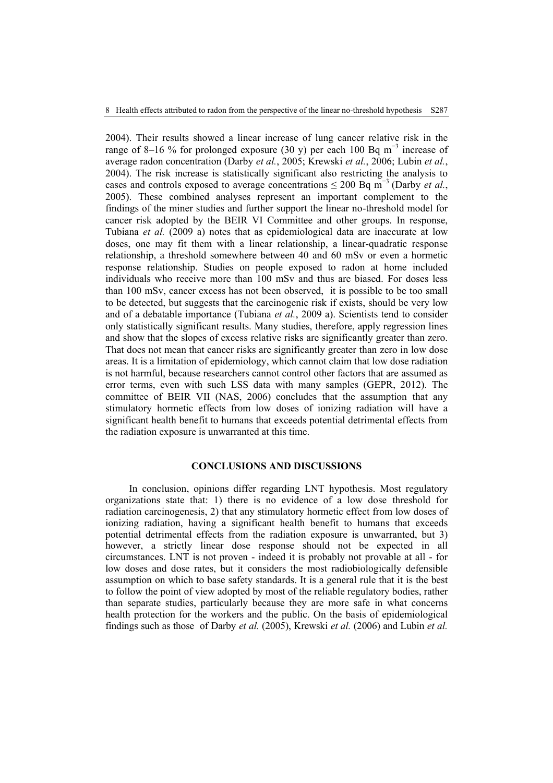2004). Their results showed a linear increase of lung cancer relative risk in the range of 8–16 % for prolonged exposure (30 y) per each 100 Bq  $m^{-3}$  increase of average radon concentration (Darby *et al.*, 2005; Krewski *et al.*, 2006; Lubin *et al.*, 2004). The risk increase is statistically significant also restricting the analysis to cases and controls exposed to average concentrations  $\leq 200$  Bq m<sup>-3</sup> (Darby *et al.*, 2005). These combined analyses represent an important complement to the findings of the miner studies and further support the linear no-threshold model for cancer risk adopted by the BEIR VI Committee and other groups. In response, Tubiana *et al.* (2009 a) notes that as epidemiological data are inaccurate at low doses, one may fit them with a linear relationship, a linear-quadratic response relationship, a threshold somewhere between 40 and 60 mSv or even a hormetic response relationship. Studies on people exposed to radon at home included individuals who receive more than 100 mSv and thus are biased. For doses less than 100 mSv, cancer excess has not been observed, it is possible to be too small to be detected, but suggests that the carcinogenic risk if exists, should be very low and of a debatable importance (Tubiana *et al.*, 2009 a). Scientists tend to consider only statistically significant results. Many studies, therefore, apply regression lines and show that the slopes of excess relative risks are significantly greater than zero. That does not mean that cancer risks are significantly greater than zero in low dose areas. It is a limitation of epidemiology, which cannot claim that low dose radiation is not harmful, because researchers cannot control other factors that are assumed as error terms, even with such LSS data with many samples (GEPR, 2012). The committee of BEIR VII (NAS, 2006) concludes that the assumption that any stimulatory hormetic effects from low doses of ionizing radiation will have a significant health benefit to humans that exceeds potential detrimental effects from the radiation exposure is unwarranted at this time.

## **CONCLUSIONS AND DISCUSSIONS**

In conclusion, opinions differ regarding LNT hypothesis. Most regulatory organizations state that: 1) there is no evidence of a low dose threshold for radiation carcinogenesis, 2) that any stimulatory hormetic effect from low doses of ionizing radiation, having a significant health benefit to humans that exceeds potential detrimental effects from the radiation exposure is unwarranted, but 3) however, a strictly linear dose response should not be expected in all circumstances. LNT is not proven - indeed it is probably not provable at all - for low doses and dose rates, but it considers the most radiobiologically defensible assumption on which to base safety standards. It is a general rule that it is the best to follow the point of view adopted by most of the reliable regulatory bodies, rather than separate studies, particularly because they are more safe in what concerns health protection for the workers and the public. On the basis of epidemiological findings such as those of Darby *et al.* (2005), Krewski *et al.* (2006) and Lubin *et al.*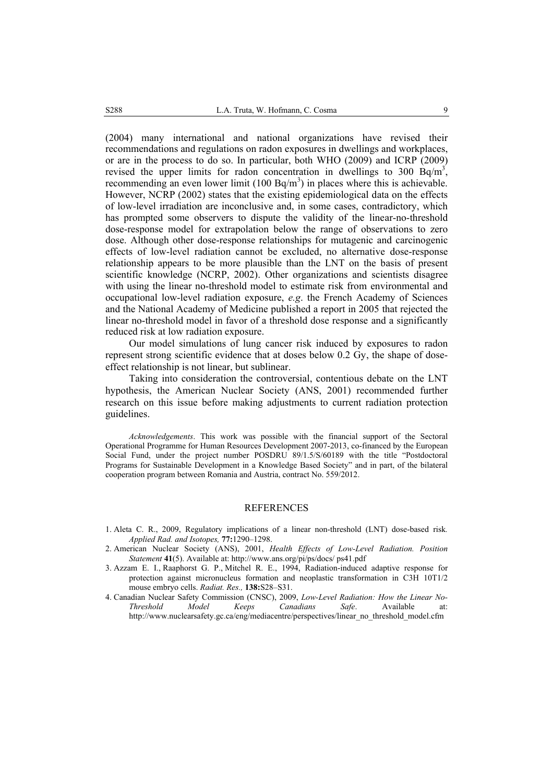(2004) many international and national organizations have revised their recommendations and regulations on radon exposures in dwellings and workplaces, or are in the process to do so. In particular, both WHO (2009) and ICRP (2009) revised the upper limits for radon concentration in dwellings to 300  $\text{Bq/m}^3$ , recommending an even lower limit  $(100 Bq/m<sup>3</sup>)$  in places where this is achievable. However, NCRP (2002) states that the existing epidemiological data on the effects of low-level irradiation are inconclusive and, in some cases, contradictory, which has prompted some observers to dispute the validity of the linear-no-threshold dose-response model for extrapolation below the range of observations to zero dose. Although other dose-response relationships for mutagenic and carcinogenic effects of low-level radiation cannot be excluded, no alternative dose-response relationship appears to be more plausible than the LNT on the basis of present scientific knowledge (NCRP, 2002). Other organizations and scientists disagree with using the linear no-threshold model to estimate risk from environmental and occupational low-level radiation exposure, *e.g*. the French Academy of Sciences and the National Academy of Medicine published a report in 2005 that rejected the linear no-threshold model in favor of a threshold dose response and a significantly reduced risk at low radiation exposure.

Our model simulations of lung cancer risk induced by exposures to radon represent strong scientific evidence that at doses below 0.2 Gy, the shape of doseeffect relationship is not linear, but sublinear.

Taking into consideration the controversial, contentious debate on the LNT hypothesis, the American Nuclear Society (ANS, 2001) recommended further research on this issue before making adjustments to current radiation protection guidelines.

*Acknowledgements*. This work was possible with the financial support of the Sectoral Operational Programme for Human Resources Development 2007-2013, co-financed by the European Social Fund, under the project number POSDRU 89/1.5/S/60189 with the title "Postdoctoral Programs for Sustainable Development in a Knowledge Based Society" and in part, of the bilateral cooperation program between Romania and Austria, contract No. 559/2012.

#### REFERENCES

- 1. Aleta C. R., 2009, Regulatory implications of a linear non-threshold (LNT) dose-based risk*. Applied Rad. and Isotopes,* **77:**1290–1298.
- 2. American Nuclear Society (ANS), 2001, *Health Effects of Low-Level Radiation. Position Statement* **41**(5). Available at: http://www.ans.org/pi/ps/docs/ ps41.pdf
- 3. Azzam E. I., Raaphorst G. P., Mitchel R. E., 1994, Radiation-induced adaptive response for protection against micronucleus formation and neoplastic transformation in C3H 10T1/2 mouse embryo cells. *Radiat. Res.,* **138:**S28–S31.
- 4. Canadian Nuclear Safety Commission (CNSC), 2009, *Low-Level Radiation: How the Linear No-Threshold Model Keeps Canadians Safe*. Available at: http://www.nuclearsafety.gc.ca/eng/mediacentre/perspectives/linear\_no\_threshold\_model.cfm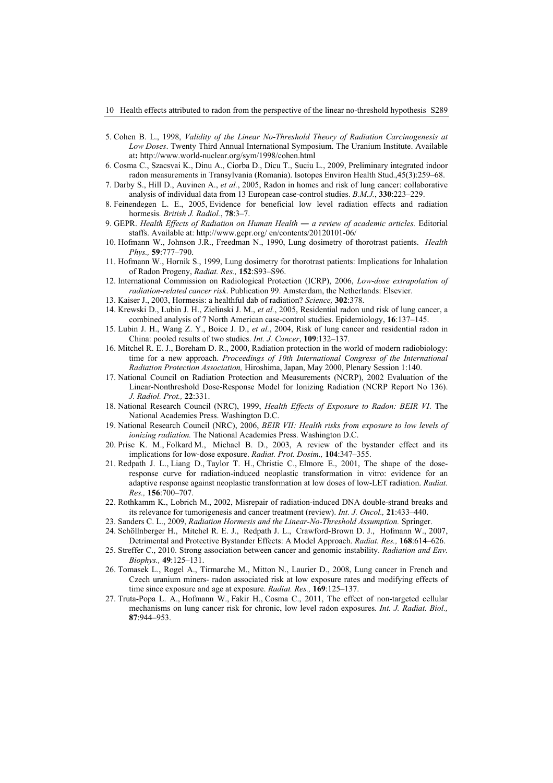- 5. Cohen B. L., 1998, *Validity of the Linear No-Threshold Theory of Radiation Carcinogenesis at Low Doses*. Twenty Third Annual International Symposium. The Uranium Institute. Available at**:** http://www.world-nuclear.org/sym/1998/cohen.html
- 6. Cosma C., Szacsvai K., Dinu A., Ciorba D., Dicu T., Suciu L., 2009, Preliminary integrated indoor radon measurements in Transylvania (Romania). Isotopes Environ Health Stud.,45(3):259–68.
- 7. Darby S., Hill D., Auvinen A., *et al.*, 2005, Radon in homes and risk of lung cancer: collaborative analysis of individual data from 13 European case-control studies. *B.M.J.*, **330**:223–229.
- 8. Feinendegen L. E., 2005, Evidence for beneficial low level radiation effects and radiation hormesis*. British J. Radiol.*, **78**:3–7.
- 9. GEPR. *Health Effects of Radiation on Human Health ― a review of academic articles.* Editorial staffs. Available at: http://www.gepr.org/ en/contents/20120101-06/
- 10. Hofmann W., Johnson J.R., Freedman N., 1990, Lung dosimetry of thorotrast patients. *Health Phys.,* **59**:777–790.
- 11. Hofmann W., Hornik S., 1999, Lung dosimetry for thorotrast patients: Implications for Inhalation of Radon Progeny, *Radiat. Res.,* **152**:S93–S96.
- 12. International Commission on Radiological Protection (ICRP), 2006, *Low-dose extrapolation of radiation-related cancer risk*. Publication 99. Amsterdam, the Netherlands: Elsevier.
- 13. Kaiser J., 2003, Hormesis: a healthful dab of radiation? *Science,* **302**:378.
- 14. Krewski D., Lubin J. H., Zielinski J. M., *et al.*, 2005, Residential radon und risk of lung cancer, a combined analysis of 7 North American case-control studies. Epidemiology, **16**:137–145.
- 15. Lubin J. H., Wang Z. Y., Boice J. D., *et al.*, 2004, Risk of lung cancer and residential radon in China: pooled results of two studies. *Int. J. Cancer*, **109**:132–137.
- 16. Mitchel R. E. J., Boreham D. R., 2000, Radiation protection in the world of modern radiobiology: time for a new approach. *Proceedings of 10th International Congress of the International Radiation Protection Association,* Hiroshima, Japan, May 2000, Plenary Session 1:140.
- 17. National Council on Radiation Protection and Measurements (NCRP), 2002 Evaluation of the Linear-Nonthreshold Dose-Response Model for Ionizing Radiation (NCRP Report No 136). *J. Radiol. Prot.,* **22**:331.
- 18. National Research Council (NRC), 1999, *Health Effects of Exposure to Radon: BEIR VI*. The National Academies Press. Washington D.C.
- 19. National Research Council (NRC), 2006, *BEIR VII: Health risks from exposure to low levels of ionizing radiation.* The National Academies Press. Washington D.C.
- 20. Prise K. M., Folkard M., Michael B. D., 2003, A review of the bystander effect and its implications for low-dose exposure. *Radiat. Prot. Dosim.,* **104**:347–355.
- 21. Redpath J. L., Liang D., Taylor T. H., Christie C., Elmore E., 2001, The shape of the doseresponse curve for radiation-induced neoplastic transformation in vitro: evidence for an adaptive response against neoplastic transformation at low doses of low-LET radiation. *Radiat. Res.,* **156**:700–707.
- 22. Rothkamm K., Lobrich M., 2002, Misrepair of radiation-induced DNA double-strand breaks and its relevance for tumorigenesis and cancer treatment (review). *Int. J. Oncol.,* **21**:433–440.
- 23. Sanders C. L., 2009, *Radiation Hormesis and the Linear-No-Threshold Assumption.* Springer.
- 24. Schöllnberger H., Mitchel R. E. J., Redpath J. L., Crawford-Brown D. J., Hofmann W., 2007, Detrimental and Protective Bystander Effects: A Model Approach. *Radiat. Res.,* **168**:614–626.
- 25. Streffer C., 2010. Strong association between cancer and genomic instability. *Radiation and Env. Biophys.,* **49**:125–131.
- 26. Tomasek L., Rogel A., Tirmarche M., Mitton N., Laurier D., 2008, Lung cancer in French and Czech uranium miners- radon associated risk at low exposure rates and modifying effects of time since exposure and age at exposure. *Radiat. Res.,* **169**:125–137.
- 27. Truta-Popa L. A., Hofmann W., Fakir H., Cosma C., 2011, The effect of non-targeted cellular mechanisms on lung cancer risk for chronic, low level radon exposures*. Int. J. Radiat. Biol.,* **87**:944–953.